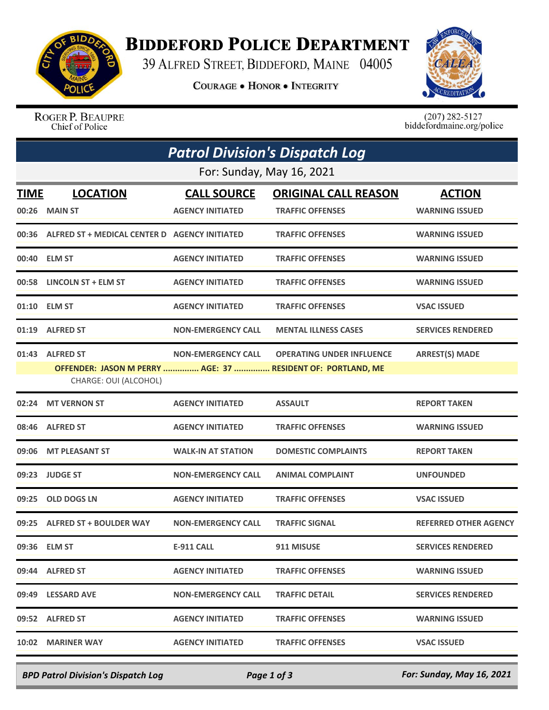

## **BIDDEFORD POLICE DEPARTMENT**

39 ALFRED STREET, BIDDEFORD, MAINE 04005

**COURAGE . HONOR . INTEGRITY** 



ROGER P. BEAUPRE Chief of Police

 $(207)$  282-5127<br>biddefordmaine.org/police

| <b>Patrol Division's Dispatch Log</b> |                                                                                                         |                                               |                                                        |                                        |  |  |  |
|---------------------------------------|---------------------------------------------------------------------------------------------------------|-----------------------------------------------|--------------------------------------------------------|----------------------------------------|--|--|--|
| For: Sunday, May 16, 2021             |                                                                                                         |                                               |                                                        |                                        |  |  |  |
| <b>TIME</b>                           | <b>LOCATION</b><br>00:26 MAIN ST                                                                        | <b>CALL SOURCE</b><br><b>AGENCY INITIATED</b> | <b>ORIGINAL CALL REASON</b><br><b>TRAFFIC OFFENSES</b> | <b>ACTION</b><br><b>WARNING ISSUED</b> |  |  |  |
|                                       | 00:36 ALFRED ST + MEDICAL CENTER D AGENCY INITIATED                                                     |                                               | <b>TRAFFIC OFFENSES</b>                                | <b>WARNING ISSUED</b>                  |  |  |  |
|                                       | 00:40 ELM ST                                                                                            | <b>AGENCY INITIATED</b>                       | <b>TRAFFIC OFFENSES</b>                                | <b>WARNING ISSUED</b>                  |  |  |  |
| 00:58                                 | LINCOLN ST + ELM ST                                                                                     | <b>AGENCY INITIATED</b>                       | <b>TRAFFIC OFFENSES</b>                                | <b>WARNING ISSUED</b>                  |  |  |  |
|                                       | 01:10 ELM ST                                                                                            | <b>AGENCY INITIATED</b>                       | <b>TRAFFIC OFFENSES</b>                                | <b>VSAC ISSUED</b>                     |  |  |  |
|                                       | 01:19 ALFRED ST                                                                                         | <b>NON-EMERGENCY CALL</b>                     | <b>MENTAL ILLNESS CASES</b>                            | <b>SERVICES RENDERED</b>               |  |  |  |
|                                       | 01:43 ALFRED ST<br>OFFENDER: JASON M PERRY  AGE: 37  RESIDENT OF: PORTLAND, ME<br>CHARGE: OUI (ALCOHOL) | <b>NON-EMERGENCY CALL</b>                     | <b>OPERATING UNDER INFLUENCE</b>                       | <b>ARREST(S) MADE</b>                  |  |  |  |
| 02:24                                 | <b>MT VERNON ST</b>                                                                                     | <b>AGENCY INITIATED</b>                       | <b>ASSAULT</b>                                         | <b>REPORT TAKEN</b>                    |  |  |  |
| 08:46                                 | <b>ALFRED ST</b>                                                                                        | <b>AGENCY INITIATED</b>                       | <b>TRAFFIC OFFENSES</b>                                | <b>WARNING ISSUED</b>                  |  |  |  |
| 09:06                                 | <b>MT PLEASANT ST</b>                                                                                   | <b>WALK-IN AT STATION</b>                     | <b>DOMESTIC COMPLAINTS</b>                             | <b>REPORT TAKEN</b>                    |  |  |  |
| 09:23                                 | <b>JUDGE ST</b>                                                                                         | <b>NON-EMERGENCY CALL</b>                     | <b>ANIMAL COMPLAINT</b>                                | <b>UNFOUNDED</b>                       |  |  |  |
| 09:25                                 | <b>OLD DOGS LN</b>                                                                                      | <b>AGENCY INITIATED</b>                       | <b>TRAFFIC OFFENSES</b>                                | <b>VSAC ISSUED</b>                     |  |  |  |
|                                       | 09:25 ALFRED ST + BOULDER WAY                                                                           | <b>NON-EMERGENCY CALL</b>                     | <b>TRAFFIC SIGNAL</b>                                  | <b>REFERRED OTHER AGENCY</b>           |  |  |  |
|                                       | 09:36 ELM ST                                                                                            | <b>E-911 CALL</b>                             | 911 MISUSE                                             | <b>SERVICES RENDERED</b>               |  |  |  |
|                                       | 09:44 ALFRED ST                                                                                         | <b>AGENCY INITIATED</b>                       | <b>TRAFFIC OFFENSES</b>                                | <b>WARNING ISSUED</b>                  |  |  |  |
|                                       | 09:49 LESSARD AVE                                                                                       | <b>NON-EMERGENCY CALL</b>                     | <b>TRAFFIC DETAIL</b>                                  | <b>SERVICES RENDERED</b>               |  |  |  |
|                                       | 09:52 ALFRED ST                                                                                         | <b>AGENCY INITIATED</b>                       | <b>TRAFFIC OFFENSES</b>                                | <b>WARNING ISSUED</b>                  |  |  |  |
| 10:02                                 | <b>MARINER WAY</b>                                                                                      | <b>AGENCY INITIATED</b>                       | <b>TRAFFIC OFFENSES</b>                                | <b>VSAC ISSUED</b>                     |  |  |  |

*BPD Patrol Division's Dispatch Log Page 1 of 3 For: Sunday, May 16, 2021*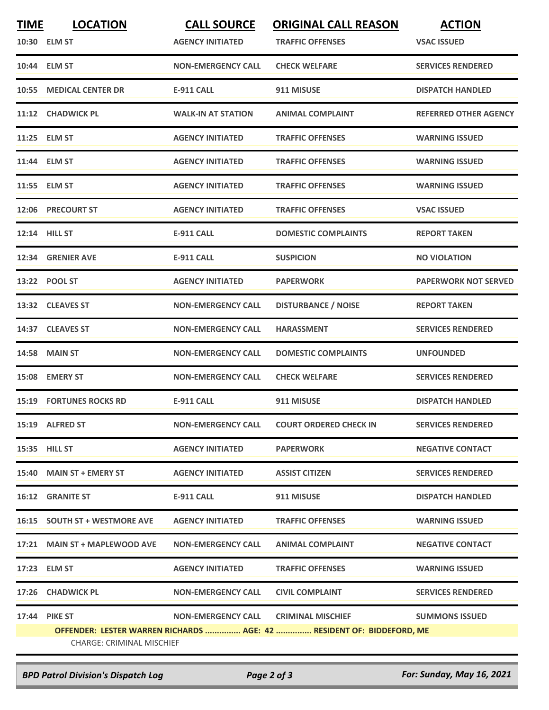| <b>TIME</b> | <b>LOCATION</b>                  | <b>CALL SOURCE</b>        | <b>ORIGINAL CALL REASON</b>                                           | <b>ACTION</b>                |  |  |  |
|-------------|----------------------------------|---------------------------|-----------------------------------------------------------------------|------------------------------|--|--|--|
|             | 10:30 ELM ST                     | <b>AGENCY INITIATED</b>   | <b>TRAFFIC OFFENSES</b>                                               | <b>VSAC ISSUED</b>           |  |  |  |
|             | 10:44 ELM ST                     | <b>NON-EMERGENCY CALL</b> | <b>CHECK WELFARE</b>                                                  | <b>SERVICES RENDERED</b>     |  |  |  |
| 10:55       | <b>MEDICAL CENTER DR</b>         | <b>E-911 CALL</b>         | 911 MISUSE                                                            | <b>DISPATCH HANDLED</b>      |  |  |  |
|             | 11:12 CHADWICK PL                | <b>WALK-IN AT STATION</b> | <b>ANIMAL COMPLAINT</b>                                               | <b>REFERRED OTHER AGENCY</b> |  |  |  |
|             | 11:25 ELM ST                     | <b>AGENCY INITIATED</b>   | <b>TRAFFIC OFFENSES</b>                                               | <b>WARNING ISSUED</b>        |  |  |  |
|             | 11:44 ELM ST                     | <b>AGENCY INITIATED</b>   | <b>TRAFFIC OFFENSES</b>                                               | <b>WARNING ISSUED</b>        |  |  |  |
|             | 11:55 ELM ST                     | <b>AGENCY INITIATED</b>   | <b>TRAFFIC OFFENSES</b>                                               | <b>WARNING ISSUED</b>        |  |  |  |
| 12:06       | <b>PRECOURT ST</b>               | <b>AGENCY INITIATED</b>   | <b>TRAFFIC OFFENSES</b>                                               | <b>VSAC ISSUED</b>           |  |  |  |
|             | 12:14 HILL ST                    | <b>E-911 CALL</b>         | <b>DOMESTIC COMPLAINTS</b>                                            | <b>REPORT TAKEN</b>          |  |  |  |
|             | 12:34 GRENIER AVE                | <b>E-911 CALL</b>         | <b>SUSPICION</b>                                                      | <b>NO VIOLATION</b>          |  |  |  |
|             | 13:22 POOL ST                    | <b>AGENCY INITIATED</b>   | <b>PAPERWORK</b>                                                      | <b>PAPERWORK NOT SERVED</b>  |  |  |  |
|             | 13:32 CLEAVES ST                 | <b>NON-EMERGENCY CALL</b> | <b>DISTURBANCE / NOISE</b>                                            | <b>REPORT TAKEN</b>          |  |  |  |
|             | 14:37 CLEAVES ST                 | <b>NON-EMERGENCY CALL</b> | <b>HARASSMENT</b>                                                     | <b>SERVICES RENDERED</b>     |  |  |  |
|             | <b>14:58 MAIN ST</b>             | <b>NON-EMERGENCY CALL</b> | <b>DOMESTIC COMPLAINTS</b>                                            | <b>UNFOUNDED</b>             |  |  |  |
|             | 15:08 EMERY ST                   | <b>NON-EMERGENCY CALL</b> | <b>CHECK WELFARE</b>                                                  | <b>SERVICES RENDERED</b>     |  |  |  |
|             | <b>15:19 FORTUNES ROCKS RD</b>   | <b>E-911 CALL</b>         | 911 MISUSE                                                            | <b>DISPATCH HANDLED</b>      |  |  |  |
|             | 15:19 ALFRED ST                  | <b>NON-EMERGENCY CALL</b> | <b>COURT ORDERED CHECK IN</b>                                         | <b>SERVICES RENDERED</b>     |  |  |  |
|             | 15:35 HILL ST                    | <b>AGENCY INITIATED</b>   | <b>PAPERWORK</b>                                                      | <b>NEGATIVE CONTACT</b>      |  |  |  |
|             | 15:40 MAIN ST + EMERY ST         | <b>AGENCY INITIATED</b>   | <b>ASSIST CITIZEN</b>                                                 | <b>SERVICES RENDERED</b>     |  |  |  |
|             | <b>16:12 GRANITE ST</b>          | E-911 CALL                | 911 MISUSE                                                            | <b>DISPATCH HANDLED</b>      |  |  |  |
|             | 16:15 SOUTH ST + WESTMORE AVE    | <b>AGENCY INITIATED</b>   | <b>TRAFFIC OFFENSES</b>                                               | <b>WARNING ISSUED</b>        |  |  |  |
|             | 17:21 MAIN ST + MAPLEWOOD AVE    | <b>NON-EMERGENCY CALL</b> | <b>ANIMAL COMPLAINT</b>                                               | <b>NEGATIVE CONTACT</b>      |  |  |  |
|             | 17:23 ELM ST                     | <b>AGENCY INITIATED</b>   | <b>TRAFFIC OFFENSES</b>                                               | <b>WARNING ISSUED</b>        |  |  |  |
|             | 17:26 CHADWICK PL                | <b>NON-EMERGENCY CALL</b> | <b>CIVIL COMPLAINT</b>                                                | <b>SERVICES RENDERED</b>     |  |  |  |
|             | <b>17:44 PIKE ST</b>             | <b>NON-EMERGENCY CALL</b> | <b>CRIMINAL MISCHIEF</b>                                              | <b>SUMMONS ISSUED</b>        |  |  |  |
|             |                                  |                           | OFFENDER: LESTER WARREN RICHARDS  AGE: 42  RESIDENT OF: BIDDEFORD, ME |                              |  |  |  |
|             | <b>CHARGE: CRIMINAL MISCHIEF</b> |                           |                                                                       |                              |  |  |  |

*BPD Patrol Division's Dispatch Log Page 2 of 3 For: Sunday, May 16, 2021*